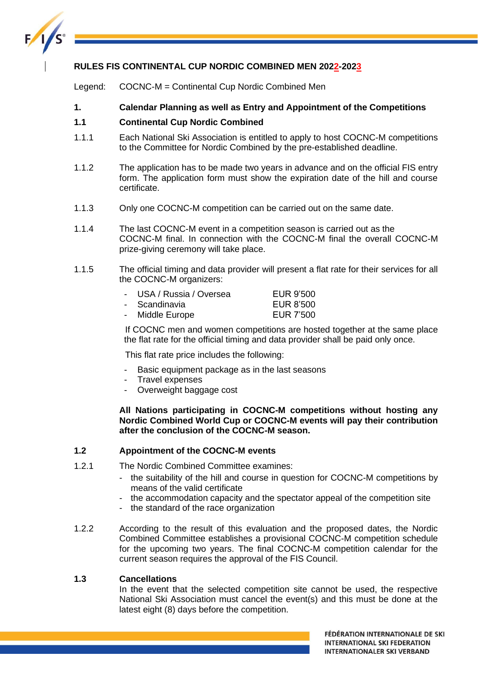

# **RULES FIS CONTINENTAL CUP NORDIC COMBINED MEN 2022-2023**

Legend: COCNC-M = Continental Cup Nordic Combined Men

# **1. Calendar Planning as well as Entry and Appointment of the Competitions**

# **1.1 Continental Cup Nordic Combined**

- 1.1.1 Each National Ski Association is entitled to apply to host COCNC-M competitions to the Committee for Nordic Combined by the pre-established deadline.
- 1.1.2 The application has to be made two years in advance and on the official FIS entry form. The application form must show the expiration date of the hill and course certificate.
- 1.1.3 Only one COCNC-M competition can be carried out on the same date.
- 1.1.4 The last COCNC-M event in a competition season is carried out as the COCNC-M final. In connection with the COCNC-M final the overall COCNC-M prize-giving ceremony will take place.
- 1.1.5 The official timing and data provider will present a flat rate for their services for all the COCNC-M organizers:

| - USA / Russia / Oversea | EUR 9'500        |
|--------------------------|------------------|
| - Scandinavia            | EUR 8'500        |
| - Middle Europe          | <b>EUR 7'500</b> |

If COCNC men and women competitions are hosted together at the same place the flat rate for the official timing and data provider shall be paid only once.

This flat rate price includes the following:

- Basic equipment package as in the last seasons
- Travel expenses
- Overweight baggage cost

**All Nations participating in COCNC-M competitions without hosting any Nordic Combined World Cup or COCNC-M events will pay their contribution after the conclusion of the COCNC-M season.**

# **1.2 Appointment of the COCNC-M events**

- 1.2.1 The Nordic Combined Committee examines:
	- the suitability of the hill and course in question for COCNC-M competitions by means of the valid certificate
	- the accommodation capacity and the spectator appeal of the competition site
	- the standard of the race organization
- 1.2.2 According to the result of this evaluation and the proposed dates, the Nordic Combined Committee establishes a provisional COCNC-M competition schedule for the upcoming two years. The final COCNC-M competition calendar for the current season requires the approval of the FIS Council.

# **1.3 Cancellations**

In the event that the selected competition site cannot be used, the respective National Ski Association must cancel the event(s) and this must be done at the latest eight (8) days before the competition.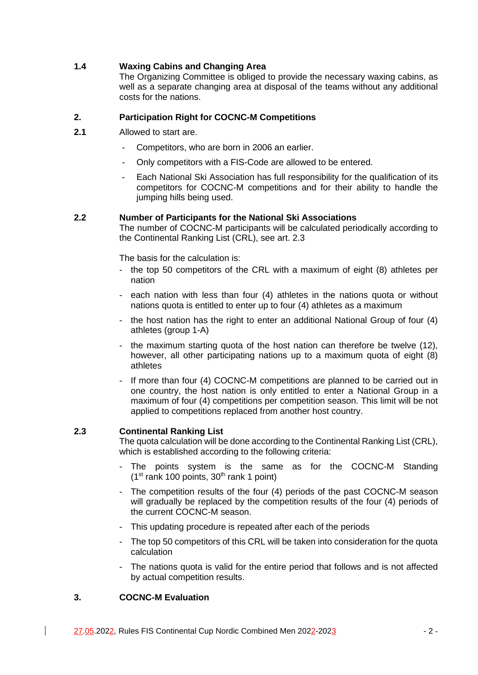# **1.4 Waxing Cabins and Changing Area**

The Organizing Committee is obliged to provide the necessary waxing cabins, as well as a separate changing area at disposal of the teams without any additional costs for the nations.

# **2. Participation Right for COCNC-M Competitions**

- **2.1** Allowed to start are.
	- Competitors, who are born in 2006 an earlier.
	- Only competitors with a FIS-Code are allowed to be entered.
	- Each National Ski Association has full responsibility for the qualification of its competitors for COCNC-M competitions and for their ability to handle the jumping hills being used.

# **2.2 Number of Participants for the National Ski Associations**

The number of COCNC-M participants will be calculated periodically according to the Continental Ranking List (CRL), see art. 2.3

The basis for the calculation is:

- the top 50 competitors of the CRL with a maximum of eight (8) athletes per nation
- each nation with less than four (4) athletes in the nations quota or without nations quota is entitled to enter up to four (4) athletes as a maximum
- the host nation has the right to enter an additional National Group of four (4) athletes (group 1-A)
- the maximum starting quota of the host nation can therefore be twelve (12), however, all other participating nations up to a maximum quota of eight (8) athletes
- If more than four (4) COCNC-M competitions are planned to be carried out in one country, the host nation is only entitled to enter a National Group in a maximum of four (4) competitions per competition season. This limit will be not applied to competitions replaced from another host country.

# **2.3 Continental Ranking List**

The quota calculation will be done according to the Continental Ranking List (CRL), which is established according to the following criteria:

- The points system is the same as for the COCNC-M Standing  $(1<sup>st</sup>$  rank 100 points, 30<sup>th</sup> rank 1 point)
- The competition results of the four (4) periods of the past COCNC-M season will gradually be replaced by the competition results of the four (4) periods of the current COCNC-M season.
- This updating procedure is repeated after each of the periods
- The top 50 competitors of this CRL will be taken into consideration for the quota calculation
- The nations quota is valid for the entire period that follows and is not affected by actual competition results.

# **3. COCNC-M Evaluation**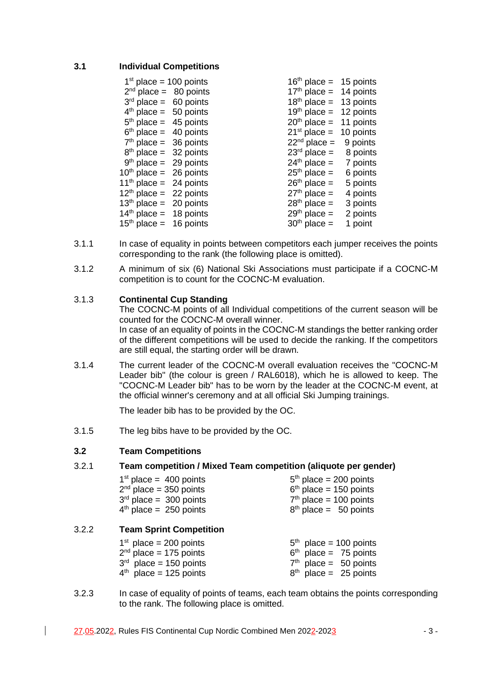# **3.1 Individual Competitions**

| $1st$ place = 100 points           | $16th$ place = 15 points |           |
|------------------------------------|--------------------------|-----------|
| $2nd$ place = 80 points            | $17th$ place = 14 points |           |
| $3rd$ place = 60 points            | $18th$ place = 13 points |           |
| $4th$ place = 50 points            | $19th$ place = 12 points |           |
| $5th$ place = 45 points            | $20th$ place = 11 points |           |
| $6th$ place = 40 points            | $21st$ place =           | 10 points |
| $7th$ place = 36 points            | $22nd$ place = 9 points  |           |
| $8th$ place = 32 points            | $23rd$ place = 8 points  |           |
| $9th$ place = 29 points            | $24th$ place = 7 points  |           |
| $10th$ place = 26 points           | $25th$ place =           | 6 points  |
| 11 <sup>th</sup> place = 24 points | $26th$ place =           | 5 points  |
| $12th$ place = 22 points           | $27th$ place =           | 4 points  |
| $13th$ place = 20 points           | $28th$ place =           | 3 points  |
| $14th$ place = 18 points           | $29th$ place =           | 2 points  |
| $15th$ place = 16 points           | $30th$ place =           | 1 point   |
|                                    |                          |           |

- 3.1.1 In case of equality in points between competitors each jumper receives the points corresponding to the rank (the following place is omitted).
- 3.1.2 A minimum of six (6) National Ski Associations must participate if a COCNC-M competition is to count for the COCNC-M evaluation.

# 3.1.3 **Continental Cup Standing**

The COCNC-M points of all Individual competitions of the current season will be counted for the COCNC-M overall winner. In case of an equality of points in the COCNC-M standings the better ranking order of the different competitions will be used to decide the ranking. If the competitors are still equal, the starting order will be drawn.

3.1.4 The current leader of the COCNC-M overall evaluation receives the "COCNC-M Leader bib" (the colour is green / RAL6018), which he is allowed to keep. The "COCNC-M Leader bib" has to be worn by the leader at the COCNC-M event, at the official winner's ceremony and at all official Ski Jumping trainings.

The leader bib has to be provided by the OC.

3.1.5 The leg bibs have to be provided by the OC.

# **3.2 Team Competitions**

# 3.2.1 **Team competition / Mixed Team competition (aliquote per gender)**

| $1st$ place = 400 points | $5th$ place = 200 points |
|--------------------------|--------------------------|
| $2nd$ place = 350 points | $6th$ place = 150 points |
| $3rd$ place = 300 points | $7th$ place = 100 points |
| $4th$ place = 250 points | $8th$ place = 50 points  |

#### 3.2.2 **Team Sprint Competition**

| $1st$ place = 200 points | $5th$ place = 100 points |
|--------------------------|--------------------------|
| $2nd$ place = 175 points | $6th$ place = 75 points  |
| $3rd$ place = 150 points | $7th$ place = 50 points  |
| $4th$ place = 125 points | $8th$ place = 25 points  |

3.2.3 In case of equality of points of teams, each team obtains the points corresponding to the rank. The following place is omitted.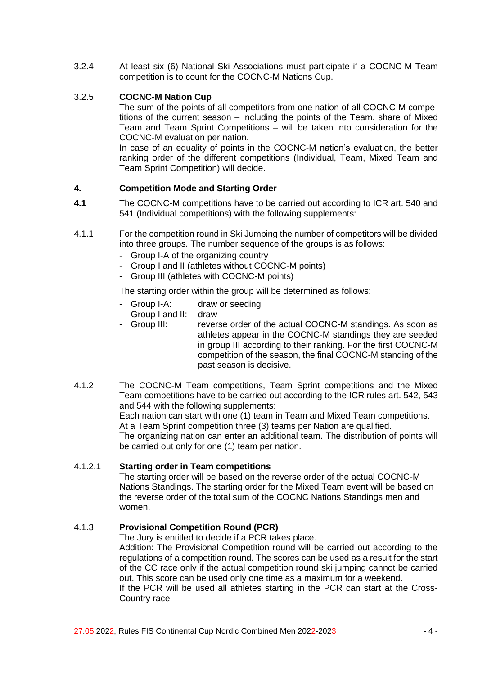3.2.4 At least six (6) National Ski Associations must participate if a COCNC-M Team competition is to count for the COCNC-M Nations Cup.

# 3.2.5 **COCNC-M Nation Cup**

The sum of the points of all competitors from one nation of all COCNC-M competitions of the current season – including the points of the Team, share of Mixed Team and Team Sprint Competitions – will be taken into consideration for the COCNC-M evaluation per nation.

In case of an equality of points in the COCNC-M nation's evaluation, the better ranking order of the different competitions (Individual, Team, Mixed Team and Team Sprint Competition) will decide.

# **4. Competition Mode and Starting Order**

- **4.1** The COCNC-M competitions have to be carried out according to ICR art. 540 and 541 (Individual competitions) with the following supplements:
- 4.1.1 For the competition round in Ski Jumping the number of competitors will be divided into three groups. The number sequence of the groups is as follows:
	- Group I-A of the organizing country
	- Group I and II (athletes without COCNC-M points)
	- Group III (athletes with COCNC-M points)

The starting order within the group will be determined as follows:

- Group I-A: draw or seeding
- Group I and II: draw
- Group III: reverse order of the actual COCNC-M standings. As soon as athletes appear in the COCNC-M standings they are seeded in group III according to their ranking. For the first COCNC-M competition of the season, the final COCNC-M standing of the past season is decisive.
- 4.1.2 The COCNC-M Team competitions, Team Sprint competitions and the Mixed Team competitions have to be carried out according to the ICR rules art. 542, 543 and 544 with the following supplements: Each nation can start with one (1) team in Team and Mixed Team competitions. At a Team Sprint competition three (3) teams per Nation are qualified. The organizing nation can enter an additional team. The distribution of points will be carried out only for one (1) team per nation.

# 4.1.2.1 **Starting order in Team competitions**

The starting order will be based on the reverse order of the actual COCNC-M Nations Standings. The starting order for the Mixed Team event will be based on the reverse order of the total sum of the COCNC Nations Standings men and women.

# 4.1.3 **Provisional Competition Round (PCR)**

The Jury is entitled to decide if a PCR takes place.

Addition: The Provisional Competition round will be carried out according to the regulations of a competition round. The scores can be used as a result for the start of the CC race only if the actual competition round ski jumping cannot be carried out. This score can be used only one time as a maximum for a weekend. If the PCR will be used all athletes starting in the PCR can start at the Cross-Country race.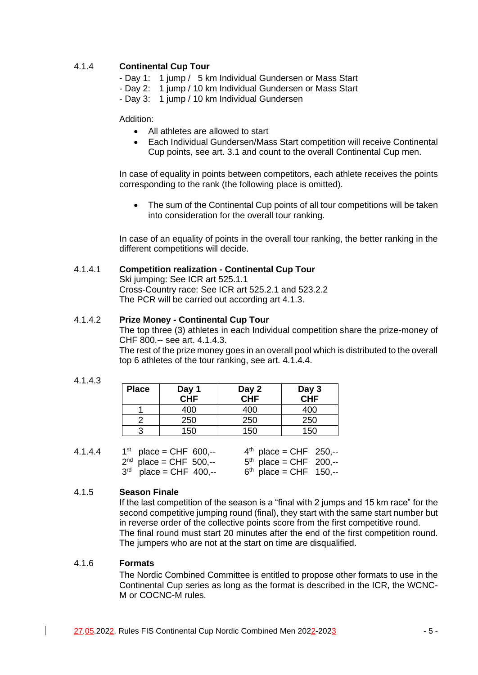# 4.1.4 **Continental Cup Tour**

- Day 1: 1 jump / 5 km Individual Gundersen or Mass Start
- Day 2: 1 jump / 10 km Individual Gundersen or Mass Start
- Day 3: 1 jump / 10 km Individual Gundersen

Addition:

- All athletes are allowed to start
- Each Individual Gundersen/Mass Start competition will receive Continental Cup points, see art. 3.1 and count to the overall Continental Cup men.

In case of equality in points between competitors, each athlete receives the points corresponding to the rank (the following place is omitted).

• The sum of the Continental Cup points of all tour competitions will be taken into consideration for the overall tour ranking.

In case of an equality of points in the overall tour ranking, the better ranking in the different competitions will decide.

### 4.1.4.1 **Competition realization - Continental Cup Tour**

Ski jumping: See ICR art 525.1.1 Cross-Country race: See ICR art 525.2.1 and 523.2.2 The PCR will be carried out according art 4.1.3.

### 4.1.4.2 **Prize Money - Continental Cup Tour**

The top three (3) athletes in each Individual competition share the prize-money of CHF 800,-- see art. 4.1.4.3.

The rest of the prize money goes in an overall pool which is distributed to the overall top 6 athletes of the tour ranking, see art. 4.1.4.4.

#### 4.1.4.3

| <b>Place</b> | Day 1<br>CHF | Day 2<br>CHF | Day 3<br>CHF |
|--------------|--------------|--------------|--------------|
|              |              |              |              |
|              | 400          | 400          | 400          |
|              | 250          | 250          | 250          |
|              | 150          | 150          | 150          |

| 4.1.4.4 | $1^{st}$ place = CHF 600,-- | $4^{th}$ place = CHF 250,-- |  |
|---------|-----------------------------|-----------------------------|--|
|         | $2^{nd}$ place = CHF 500,-- | $5th$ place = CHF 200,--    |  |
|         | $3rd$ place = CHF 400,--    | $6th$ place = CHF 150,--    |  |

# 4.1.5 **Season Finale**

If the last competition of the season is a "final with 2 jumps and 15 km race" for the second competitive jumping round (final), they start with the same start number but in reverse order of the collective points score from the first competitive round. The final round must start 20 minutes after the end of the first competition round. The jumpers who are not at the start on time are disqualified.

### 4.1.6 **Formats**

The Nordic Combined Committee is entitled to propose other formats to use in the Continental Cup series as long as the format is described in the ICR, the WCNC-M or COCNC-M rules.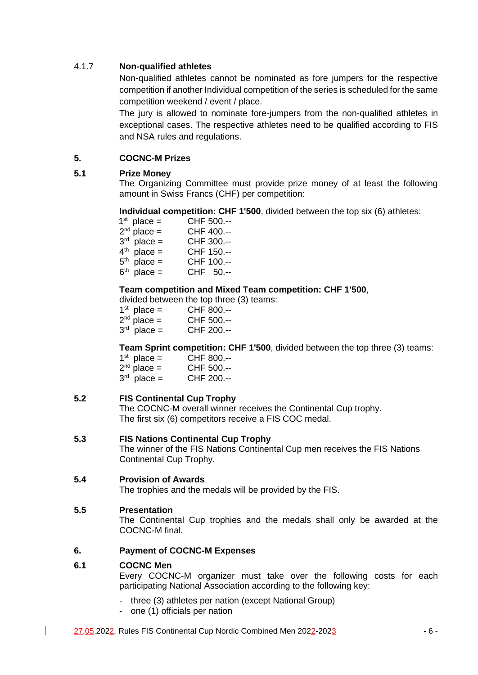# 4.1.7 **Non-qualified athletes**

Non-qualified athletes cannot be nominated as fore jumpers for the respective competition if another Individual competition of the series is scheduled for the same competition weekend / event / place.

The jury is allowed to nominate fore-jumpers from the non-qualified athletes in exceptional cases. The respective athletes need to be qualified according to FIS and NSA rules and regulations.

# **5. COCNC-M Prizes**

# **5.1 Prize Money**

The Organizing Committee must provide prize money of at least the following amount in Swiss Francs (CHF) per competition:

# **Individual competition: CHF 1'500**, divided between the top six (6) athletes:

| $1st$ place = | CHF 500.-- |
|---------------|------------|
| $2nd$ place = | CHF 400.-- |
| $3rd$ place = | CHF 300.-- |
| $4th$ place = | CHF 150.-- |
| $5th$ place = | CHF 100.-- |
| $6th$ place = | CHF 50.--  |

# **Team competition and Mixed Team competition: CHF 1'500**,

divided between the top three (3) teams:

| $1st$ place = | CHF 800.-- |
|---------------|------------|
| $2nd$ place = | CHF 500.-- |
| $3rd$ place = | CHF 200.-- |

**Team Sprint competition: CHF 1'500**, divided between the top three (3) teams:

| $1st$ place = | CHF 800.-- |
|---------------|------------|
| $2nd$ place = | CHF 500.-- |
| $3rd$ place = | CHF 200.-- |

# **5.2 FIS Continental Cup Trophy**

The COCNC-M overall winner receives the Continental Cup trophy. The first six (6) competitors receive a FIS COC medal.

# **5.3 FIS Nations Continental Cup Trophy**

The winner of the FIS Nations Continental Cup men receives the FIS Nations Continental Cup Trophy.

# **5.4 Provision of Awards**

The trophies and the medals will be provided by the FIS.

# **5.5 Presentation**

The Continental Cup trophies and the medals shall only be awarded at the COCNC-M final.

# **6. Payment of COCNC-M Expenses**

# **6.1 COCNC Men**

Every COCNC-M organizer must take over the following costs for each participating National Association according to the following key:

- three (3) athletes per nation (except National Group)
- one (1) officials per nation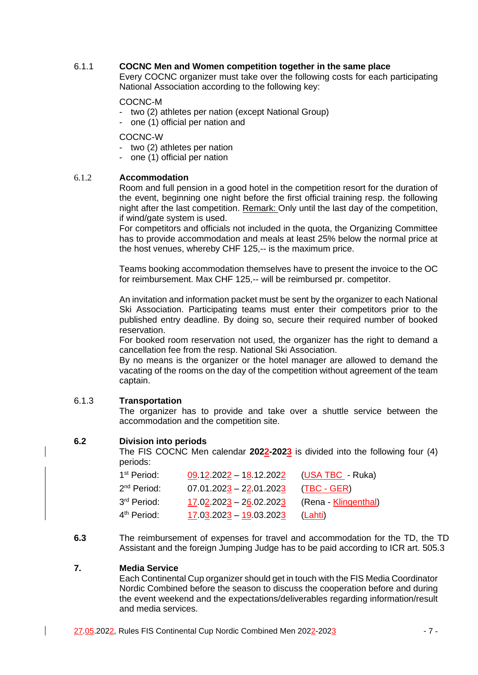# 6.1.1 **COCNC Men and Women competition together in the same place**

Every COCNC organizer must take over the following costs for each participating National Association according to the following key:

### COCNC-M

- two (2) athletes per nation (except National Group)
- one (1) official per nation and

COCNC-W

- two (2) athletes per nation
- one (1) official per nation

# 6.1.2 **Accommodation**

Room and full pension in a good hotel in the competition resort for the duration of the event, beginning one night before the first official training resp. the following night after the last competition. Remark: Only until the last day of the competition, if wind/gate system is used.

For competitors and officials not included in the quota, the Organizing Committee has to provide accommodation and meals at least 25% below the normal price at the host venues, whereby CHF 125,-- is the maximum price.

Teams booking accommodation themselves have to present the invoice to the OC for reimbursement. Max CHF 125,-- will be reimbursed pr. competitor.

An invitation and information packet must be sent by the organizer to each National Ski Association. Participating teams must enter their competitors prior to the published entry deadline. By doing so, secure their required number of booked reservation.

For booked room reservation not used, the organizer has the right to demand a cancellation fee from the resp. National Ski Association.

By no means is the organizer or the hotel manager are allowed to demand the vacating of the rooms on the day of the competition without agreement of the team captain.

# 6.1.3 **Transportation**

The organizer has to provide and take over a shuttle service between the accommodation and the competition site.

# **6.2 Division into periods**

The FIS COCNC Men calendar **2022-2023** is divided into the following four (4) periods:

| 1 <sup>st</sup> Period: | 09.12.2022 - 18.12.2022 (USA TBC - Ruka) |                      |
|-------------------------|------------------------------------------|----------------------|
| 2 <sup>nd</sup> Period: | $07.01.2023 - 22.01.2023$                | (TBC - GER)          |
| 3rd Period:             | $17.02.2023 - 26.02.2023$                | (Rena - Klingenthal) |
| 4 <sup>th</sup> Period: | $17.03.2023 - 19.03.2023$                | (Lahti)              |

**6.3** The reimbursement of expenses for travel and accommodation for the TD, the TD Assistant and the foreign Jumping Judge has to be paid according to ICR art. 505.3

# **7. Media Service**

Each Continental Cup organizer should get in touch with the FIS Media Coordinator Nordic Combined before the season to discuss the cooperation before and during the event weekend and the expectations/deliverables regarding information/result and media services.